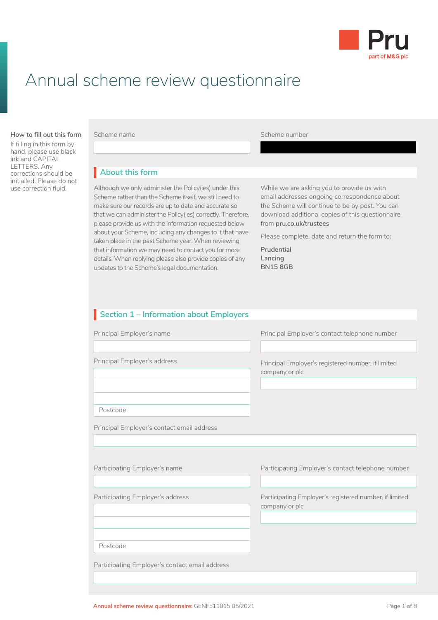

# Annual scheme review questionnaire

#### **How to fill out this form**

If filling in this form by hand, please use black ink and CAPITAL LETTERS. Any corrections should be initialled. Please do not<br>use correction fluid.

Scheme name **Scheme number** Scheme number

## **About this form** I

Although we only administer the Policy(ies) under this Scheme rather than the Scheme itself, we still need to make sure our records are up to date and accurate so that we can administer the Policy(ies) correctly. Therefore, please provide us with the information requested below about your Scheme, including any changes to it that have taken place in the past Scheme year. When reviewing that information we may need to contact you for more details. When replying please also provide copies of any updates to the Scheme's legal documentation.

While we are asking you to provide us with email addresses ongoing correspondence about the Scheme will continue to be by post. You can download additional copies of this questionnaire from **[pru.co.uk/trustees](https://www.pru.co.uk/trustees/)**

Please complete, date and return the form to:

**Prudential Lancing BN15 8GB**

| Section 1 - Information about Employers        |                                                                          |
|------------------------------------------------|--------------------------------------------------------------------------|
| Principal Employer's name                      | Principal Employer's contact telephone number                            |
| Principal Employer's address                   | Principal Employer's registered number, if limited<br>company or plc     |
| Postcode                                       |                                                                          |
| Principal Employer's contact email address     |                                                                          |
|                                                |                                                                          |
| Participating Employer's name                  | Participating Employer's contact telephone number                        |
| Participating Employer's address               | Participating Employer's registered number, if limited<br>company or plc |
|                                                |                                                                          |
| Postcode                                       |                                                                          |
| Participating Employer's contact email address |                                                                          |
|                                                |                                                                          |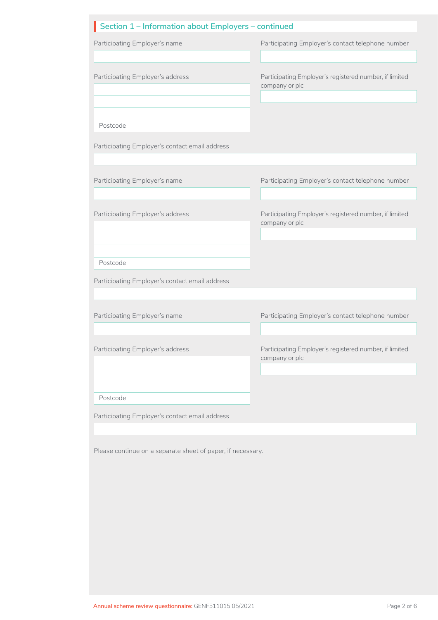| Section 1 – Information about Employers – continued |
|-----------------------------------------------------|
|                                                     |

Participating Employer's registered number, if limited

Participating Employer's registered number, if limited

Participating Employer's registered number, if limited

company or plc

company or plc

company or plc

Participating Employer's address

Participating Employer's name

Postcode

Participating Employer's contact email address

Participating Employer's name **Participating Employer's contact telephone number** 

Participating Employer's address

Postcode

Participating Employer's contact email address

Participating Employer's name **Participating Employer's contact telephone number** 

Participating Employer's address

Postcode

Participating Employer's contact email address

Please continue on a separate sheet of paper, if necessary.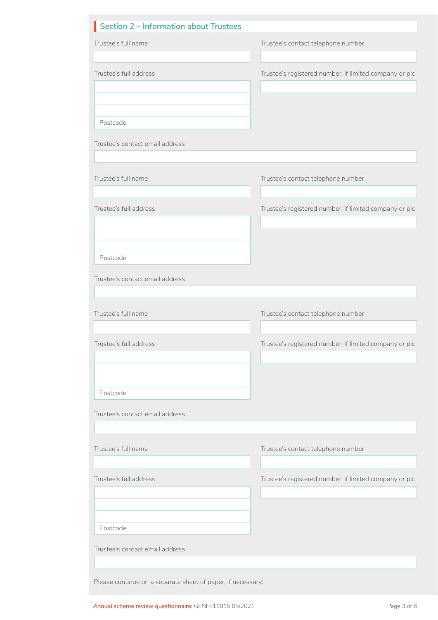| Section 2 – Information about Trustees                      |                                                        |
|-------------------------------------------------------------|--------------------------------------------------------|
| Trustee's full name                                         | Trustee's contact telephone number                     |
| Trustee's full address                                      | Trustee's registered number, if limited company or plc |
| Postcode                                                    |                                                        |
| Trustee's contact email address                             |                                                        |
| Trustee's full name                                         | Trustee's contact telephone number                     |
| Trustee's full address                                      | Trustee's registered number, if limited company or plc |
| Postcode                                                    |                                                        |
| Trustee's contact email address                             |                                                        |
| Trustee's full name                                         | Trustee's contact telephone number                     |
| Trustee's full address                                      | Trustee's registered number, if limited company or plc |
| Postcode                                                    |                                                        |
| Trustee's contact email address                             |                                                        |
| Trustee's full name                                         | Trustee's contact telephone number                     |
| Trustee's full address                                      | Trustee's registered number, if limited company or plc |
| Postcode                                                    |                                                        |
| Trustee's contact email address                             |                                                        |
|                                                             |                                                        |
| Please continue on a separate sheet of paper, if necessary. |                                                        |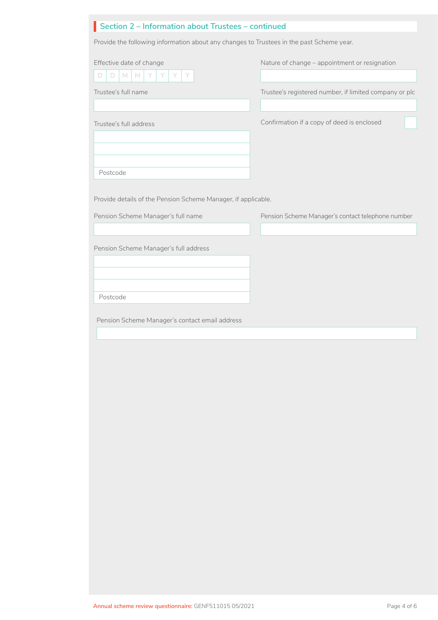| Section 2 - Information about Trustees - continued                                       |                                                        |  |
|------------------------------------------------------------------------------------------|--------------------------------------------------------|--|
| Provide the following information about any changes to Trustees in the past Scheme year. |                                                        |  |
| Effective date of change<br>M<br>Y<br>Y<br>Y<br>D<br>M<br>D                              | Nature of change - appointment or resignation          |  |
| Trustee's full name                                                                      | Trustee's registered number, if limited company or plc |  |
| Trustee's full address                                                                   | Confirmation if a copy of deed is enclosed             |  |
| Postcode<br>Provide details of the Pension Scheme Manager, if applicable.                |                                                        |  |
| Pension Scheme Manager's full name                                                       | Pension Scheme Manager's contact telephone number      |  |
| Pension Scheme Manager's full address                                                    |                                                        |  |
|                                                                                          |                                                        |  |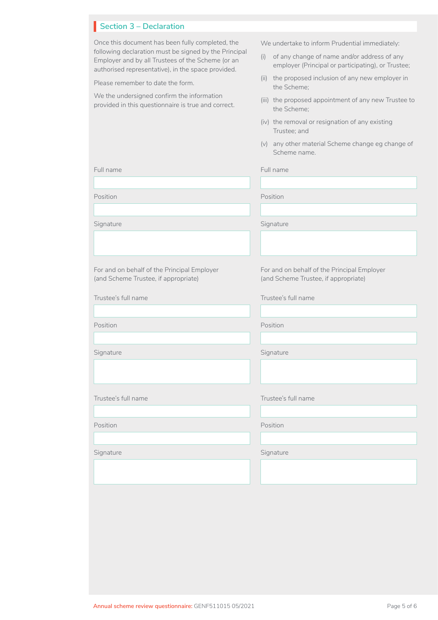## **Section 3 – Declaration**

Once this document has been fully completed, the following declaration must be signed by the Principal Employer and by all Trustees of the Scheme (or an authorised representative), in the space provided.

Please remember to date the form.

We the undersigned confirm the information provided in this questionnaire is true and correct. We undertake to inform Prudential immediately:

- (i) of any change of name and/or address of any employer (Principal or participating), or Trustee;
- (ii) the proposed inclusion of any new employer in the Scheme;
- (iii) the proposed appointment of any new Trustee to the Scheme;
- (iv) the removal or resignation of any existing Trustee; and
- (v) any other material Scheme change eg change of Scheme name.

Full name Full name

| Position                                                                            | Position                                                                            |
|-------------------------------------------------------------------------------------|-------------------------------------------------------------------------------------|
| Signature                                                                           | Signature                                                                           |
| For and on behalf of the Principal Employer<br>(and Scheme Trustee, if appropriate) | For and on behalf of the Principal Employer<br>(and Scheme Trustee, if appropriate) |
| Trustee's full name                                                                 | Trustee's full name                                                                 |
| Position                                                                            | Position                                                                            |
| Signature                                                                           | Signature                                                                           |
| Trustee's full name                                                                 | Trustee's full name                                                                 |
| Position                                                                            | Position                                                                            |
| Signature                                                                           | Signature                                                                           |
|                                                                                     |                                                                                     |